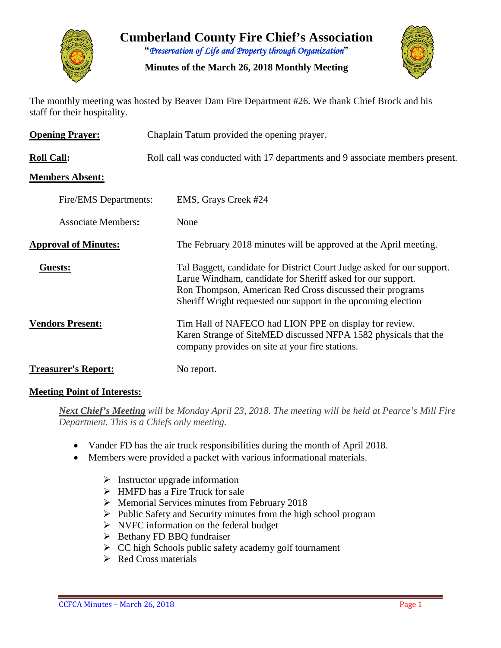

**Cumberland County Fire Chief's Association "***Preservation of Life and Property through Organization***"**

**Minutes of the March 26, 2018 Monthly Meeting**



The monthly meeting was hosted by Beaver Dam Fire Department #26. We thank Chief Brock and his staff for their hospitality.

| <b>Opening Prayer:</b>      | Chaplain Tatum provided the opening prayer.                                                                                                                                                                                                                         |  |  |  |  |  |
|-----------------------------|---------------------------------------------------------------------------------------------------------------------------------------------------------------------------------------------------------------------------------------------------------------------|--|--|--|--|--|
| <b>Roll Call:</b>           | Roll call was conducted with 17 departments and 9 associate members present.                                                                                                                                                                                        |  |  |  |  |  |
| <b>Members Absent:</b>      |                                                                                                                                                                                                                                                                     |  |  |  |  |  |
| Fire/EMS Departments:       | EMS, Grays Creek #24                                                                                                                                                                                                                                                |  |  |  |  |  |
| <b>Associate Members:</b>   | None                                                                                                                                                                                                                                                                |  |  |  |  |  |
| <b>Approval of Minutes:</b> | The February 2018 minutes will be approved at the April meeting.                                                                                                                                                                                                    |  |  |  |  |  |
| Guests:                     | Tal Baggett, candidate for District Court Judge asked for our support.<br>Larue Windham, candidate for Sheriff asked for our support.<br>Ron Thompson, American Red Cross discussed their programs<br>Sheriff Wright requested our support in the upcoming election |  |  |  |  |  |
| <b>Vendors Present:</b>     | Tim Hall of NAFECO had LION PPE on display for review.<br>Karen Strange of SiteMED discussed NFPA 1582 physicals that the<br>company provides on site at your fire stations.                                                                                        |  |  |  |  |  |
| <b>Treasurer's Report:</b>  | No report.                                                                                                                                                                                                                                                          |  |  |  |  |  |

#### **Meeting Point of Interests:**

*Next Chief's Meeting will be Monday April 23, 2018. The meeting will be held at Pearce's Mill Fire Department. This is a Chiefs only meeting.*

- Vander FD has the air truck responsibilities during the month of April 2018.
- Members were provided a packet with various informational materials.
	- $\triangleright$  Instructor upgrade information
	- $\triangleright$  HMFD has a Fire Truck for sale
	- $\triangleright$  Memorial Services minutes from February 2018
	- $\triangleright$  Public Safety and Security minutes from the high school program
	- $\triangleright$  NVFC information on the federal budget
	- $\triangleright$  Bethany FD BBQ fundraiser
	- $\triangleright$  CC high Schools public safety academy golf tournament
	- $\triangleright$  Red Cross materials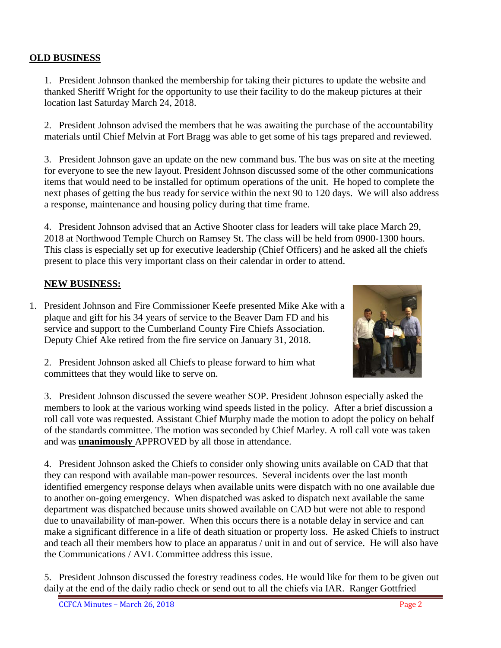## **OLD BUSINESS**

1. President Johnson thanked the membership for taking their pictures to update the website and thanked Sheriff Wright for the opportunity to use their facility to do the makeup pictures at their location last Saturday March 24, 2018.

2. President Johnson advised the members that he was awaiting the purchase of the accountability materials until Chief Melvin at Fort Bragg was able to get some of his tags prepared and reviewed.

3. President Johnson gave an update on the new command bus. The bus was on site at the meeting for everyone to see the new layout. President Johnson discussed some of the other communications items that would need to be installed for optimum operations of the unit. He hoped to complete the next phases of getting the bus ready for service within the next 90 to 120 days. We will also address a response, maintenance and housing policy during that time frame.

4. President Johnson advised that an Active Shooter class for leaders will take place March 29, 2018 at Northwood Temple Church on Ramsey St. The class will be held from 0900-1300 hours. This class is especially set up for executive leadership (Chief Officers) and he asked all the chiefs present to place this very important class on their calendar in order to attend.

#### **NEW BUSINESS:**

1. President Johnson and Fire Commissioner Keefe presented Mike Ake with a plaque and gift for his 34 years of service to the Beaver Dam FD and his service and support to the Cumberland County Fire Chiefs Association. Deputy Chief Ake retired from the fire service on January 31, 2018.



2. President Johnson asked all Chiefs to please forward to him what committees that they would like to serve on.

3. President Johnson discussed the severe weather SOP. President Johnson especially asked the members to look at the various working wind speeds listed in the policy. After a brief discussion a roll call vote was requested. Assistant Chief Murphy made the motion to adopt the policy on behalf of the standards committee. The motion was seconded by Chief Marley. A roll call vote was taken and was **unanimously** APPROVED by all those in attendance.

4. President Johnson asked the Chiefs to consider only showing units available on CAD that that they can respond with available man-power resources. Several incidents over the last month identified emergency response delays when available units were dispatch with no one available due to another on-going emergency. When dispatched was asked to dispatch next available the same department was dispatched because units showed available on CAD but were not able to respond due to unavailability of man-power. When this occurs there is a notable delay in service and can make a significant difference in a life of death situation or property loss. He asked Chiefs to instruct and teach all their members how to place an apparatus / unit in and out of service. He will also have the Communications / AVL Committee address this issue.

5. President Johnson discussed the forestry readiness codes. He would like for them to be given out daily at the end of the daily radio check or send out to all the chiefs via IAR. Ranger Gottfried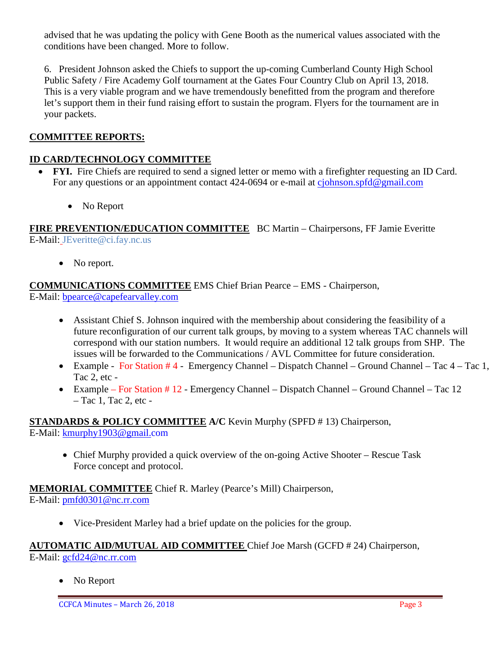advised that he was updating the policy with Gene Booth as the numerical values associated with the conditions have been changed. More to follow.

6. President Johnson asked the Chiefs to support the up-coming Cumberland County High School Public Safety / Fire Academy Golf tournament at the Gates Four Country Club on April 13, 2018. This is a very viable program and we have tremendously benefitted from the program and therefore let's support them in their fund raising effort to sustain the program. Flyers for the tournament are in your packets.

## **COMMITTEE REPORTS:**

## **ID CARD/TECHNOLOGY COMMITTEE**

- **FYI.** Fire Chiefs are required to send a signed letter or memo with a firefighter requesting an ID Card. For any questions or an appointment contact 424-0694 or e-mail at [cjohnson.spfd@gmail.com](mailto:cjohnson.spfd@gmail.com)
	- No Report

**FIRE PREVENTION/EDUCATION COMMITTEE** BC Martin – Chairpersons, FF Jamie Everitte E-Mail: JEveritte@ci.fay.nc.us

• No report.

**COMMUNICATIONS COMMITTEE** EMS Chief Brian Pearce – EMS - Chairperson, E-Mail: [bpearce@capefearvalley.com](mailto:bpearce@capefearvalley.com)

- Assistant Chief S. Johnson inquired with the membership about considering the feasibility of a future reconfiguration of our current talk groups, by moving to a system whereas TAC channels will correspond with our station numbers. It would require an additional 12 talk groups from SHP. The issues will be forwarded to the Communications / AVL Committee for future consideration.
- Example For Station #4 Emergency Channel Dispatch Channel Ground Channel Tac 4 Tac 1, Tac 2, etc -
- Example For Station # 12 Emergency Channel Dispatch Channel Ground Channel Tac 12 – Tac 1, Tac 2, etc -

**STANDARDS & POLICY COMMITTEE A/C** Kevin Murphy (SPFD # 13) Chairperson, E-Mail: [kmurphy1903@gmail.com](mailto:kmurphy1903@gmail.com)

• Chief Murphy provided a quick overview of the on-going Active Shooter – Rescue Task Force concept and protocol.

**MEMORIAL COMMITTEE** Chief R. Marley (Pearce's Mill) Chairperson, E-Mail: [pmfd0301@nc.rr.com](mailto:pmfd0301@nc.rr.com)

• Vice-President Marley had a brief update on the policies for the group.

**AUTOMATIC AID/MUTUAL AID COMMITTEE** Chief Joe Marsh (GCFD # 24) Chairperson, E-Mail: [gcfd24@nc.rr.com](mailto:gcfd24@nc.rr.com)

• No Report

CCFCA Minutes – March 26, 2018 Page 3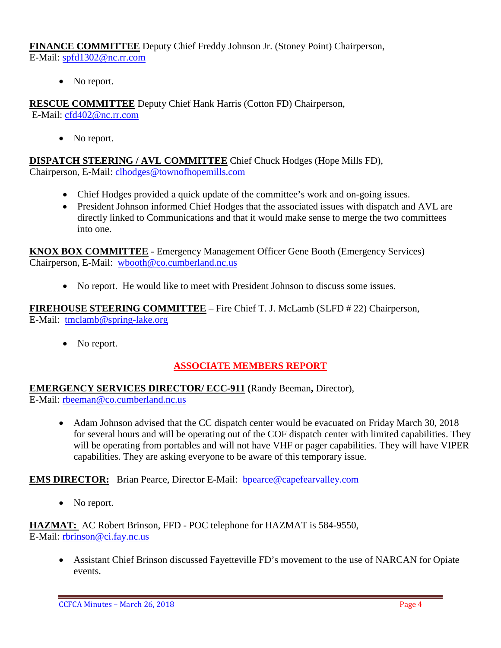**FINANCE COMMITTEE** Deputy Chief Freddy Johnson Jr. (Stoney Point) Chairperson, E-Mail: [spfd1302@nc.rr.com](mailto:spfd1302@nc.rr.com)

• No report.

**RESCUE COMMITTEE** Deputy Chief Hank Harris (Cotton FD) Chairperson, E-Mail: [cfd402@nc.rr.com](mailto:cfd402@nc.rr.com)

• No report.

**DISPATCH STEERING / AVL COMMITTEE** Chief Chuck Hodges (Hope Mills FD), Chairperson, E-Mail: clhodges@townofhopemills.com

- Chief Hodges provided a quick update of the committee's work and on-going issues.
- President Johnson informed Chief Hodges that the associated issues with dispatch and AVL are directly linked to Communications and that it would make sense to merge the two committees into one.

**KNOX BOX COMMITTEE** - Emergency Management Officer Gene Booth (Emergency Services) Chairperson, E-Mail: [wbooth@co.cumberland.nc.us](mailto:wbooth@co.cumberland.nc.us)

• No report. He would like to meet with President Johnson to discuss some issues.

**FIREHOUSE STEERING COMMITTEE** – Fire Chief T. J. McLamb (SLFD # 22) Chairperson, E-Mail: [tmclamb@spring-lake.org](mailto:tmclamb@spring-lake.org)

• No report.

# **ASSOCIATE MEMBERS REPORT**

**EMERGENCY SERVICES DIRECTOR/ ECC-911 (**Randy Beeman**,** Director), E-Mail: [rbeeman@co.cumberland.nc.us](mailto:rbeeman@co.cumberland.nc.us)

• Adam Johnson advised that the CC dispatch center would be evacuated on Friday March 30, 2018 for several hours and will be operating out of the COF dispatch center with limited capabilities. They will be operating from portables and will not have VHF or pager capabilities. They will have VIPER capabilities. They are asking everyone to be aware of this temporary issue.

# **EMS DIRECTOR:** Brian Pearce, Director E-Mail: bpearce@capefearvalley.com

• No report.

**HAZMAT:** AC Robert Brinson, FFD - POC telephone for HAZMAT is 584-9550, E-Mail: [rbrinson@ci.fay.nc.us](mailto:rbrinson@ci.fay.nc.us)

• Assistant Chief Brinson discussed Fayetteville FD's movement to the use of NARCAN for Opiate events.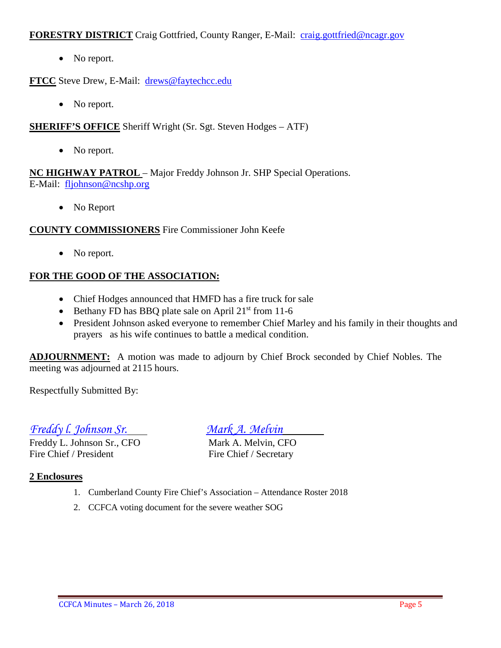#### **FORESTRY DISTRICT** Craig Gottfried, County Ranger, E-Mail: [craig.gottfried@ncagr.gov](mailto:craig.gottfried@ncagr.gov)

• No report.

**FTCC** Steve Drew, E-Mail: [drews@faytechcc.edu](mailto:drews@faytechcc.edu)

• No report.

**SHERIFF'S OFFICE** Sheriff Wright (Sr. Sgt. Steven Hodges – ATF)

• No report.

**NC HIGHWAY PATROL** – Major Freddy Johnson Jr. SHP Special Operations. E-Mail: [fljohnson@ncshp.org](mailto:fljohnson@ncshp.org)

• No Report

#### **COUNTY COMMISSIONERS** Fire Commissioner John Keefe

• No report.

#### **FOR THE GOOD OF THE ASSOCIATION:**

- Chief Hodges announced that HMFD has a fire truck for sale
- Bethany FD has BBQ plate sale on April  $21<sup>st</sup>$  from 11-6
- President Johnson asked everyone to remember Chief Marley and his family in their thoughts and prayers as his wife continues to battle a medical condition.

**ADJOURNMENT:** A motion was made to adjourn by Chief Brock seconded by Chief Nobles. The meeting was adjourned at 2115 hours.

Respectfully Submitted By:

*Freddy l. Johnson Sr. Mark A. Melvin*

Freddy L. Johnson Sr., CFO Mark A. Melvin, CFO Fire Chief / President Fire Chief / Secretary

#### **2 Enclosures**

- 1. Cumberland County Fire Chief's Association Attendance Roster 2018
- 2. CCFCA voting document for the severe weather SOG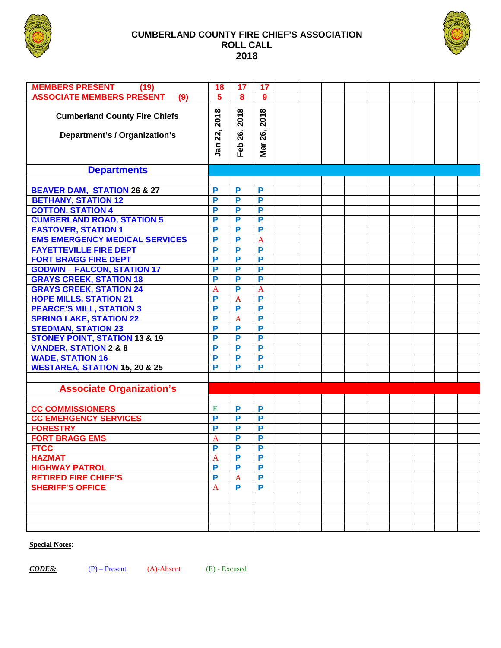

#### **CUMBERLAND COUNTY FIRE CHIEF'S ASSOCIATION ROLL CALL 2018**



| <b>MEMBERS PRESENT</b><br>(19)                                        | 18                 | 17                 | 17                 |  |  |  |  |  |
|-----------------------------------------------------------------------|--------------------|--------------------|--------------------|--|--|--|--|--|
| <b>ASSOCIATE MEMBERS PRESENT</b><br>(9)                               | 5                  | 8                  | 9                  |  |  |  |  |  |
| <b>Cumberland County Fire Chiefs</b><br>Department's / Organization's | 2018<br>22,<br>Jan | 2018<br>26,<br>Feb | 2018<br>26,<br>Mar |  |  |  |  |  |
|                                                                       |                    |                    |                    |  |  |  |  |  |
| <b>Departments</b>                                                    |                    |                    |                    |  |  |  |  |  |
|                                                                       |                    |                    |                    |  |  |  |  |  |
| <b>BEAVER DAM, STATION 26 &amp; 27</b>                                | P                  | P                  | P                  |  |  |  |  |  |
| <b>BETHANY, STATION 12</b>                                            | P                  | P                  | P                  |  |  |  |  |  |
| <b>COTTON, STATION 4</b>                                              | P                  | P                  | P                  |  |  |  |  |  |
| <b>CUMBERLAND ROAD, STATION 5</b>                                     | P                  | P                  | P                  |  |  |  |  |  |
| <b>EASTOVER, STATION 1</b>                                            | P                  | P                  | P                  |  |  |  |  |  |
| <b>EMS EMERGENCY MEDICAL SERVICES</b>                                 | P                  | P                  | $\overline{A}$     |  |  |  |  |  |
| <b>FAYETTEVILLE FIRE DEPT</b>                                         | P                  | P                  | P                  |  |  |  |  |  |
| <b>FORT BRAGG FIRE DEPT</b>                                           | P                  | P                  | $\overline{P}$     |  |  |  |  |  |
| <b>GODWIN - FALCON, STATION 17</b>                                    | P                  | P                  | $\overline{P}$     |  |  |  |  |  |
| <b>GRAYS CREEK, STATION 18</b>                                        | P                  | P                  | $\overline{P}$     |  |  |  |  |  |
| <b>GRAYS CREEK, STATION 24</b>                                        | $\mathbf{A}$       | P                  | $\overline{A}$     |  |  |  |  |  |
| <b>HOPE MILLS, STATION 21</b>                                         | P                  | $\overline{A}$     | $\overline{P}$     |  |  |  |  |  |
| <b>PEARCE'S MILL, STATION 3</b>                                       | P                  | P                  | $\overline{P}$     |  |  |  |  |  |
| <b>SPRING LAKE, STATION 22</b>                                        | P                  | $\overline{A}$     | $\overline{P}$     |  |  |  |  |  |
| <b>STEDMAN, STATION 23</b>                                            | P                  | P                  | $\overline{P}$     |  |  |  |  |  |
| <b>STONEY POINT, STATION 13 &amp; 19</b>                              | P                  | P                  | $\overline{P}$     |  |  |  |  |  |
| <b>VANDER, STATION 2 &amp; 8</b>                                      | P                  | P                  | $\overline{P}$     |  |  |  |  |  |
| <b>WADE, STATION 16</b>                                               | P                  | P                  | P                  |  |  |  |  |  |
| <b>WESTAREA, STATION 15, 20 &amp; 25</b>                              | P                  | P                  | P                  |  |  |  |  |  |
|                                                                       |                    |                    |                    |  |  |  |  |  |
| <b>Associate Organization's</b>                                       |                    |                    |                    |  |  |  |  |  |
|                                                                       |                    |                    |                    |  |  |  |  |  |
| <b>CC COMMISSIONERS</b>                                               | E                  | P                  | P                  |  |  |  |  |  |
| <b>CC EMERGENCY SERVICES</b>                                          | P                  | P                  | P                  |  |  |  |  |  |
| <b>FORESTRY</b>                                                       | P                  | P                  | P                  |  |  |  |  |  |
| <b>FORT BRAGG EMS</b>                                                 | $\overline{A}$     | P                  | P                  |  |  |  |  |  |
| <b>FTCC</b>                                                           |                    |                    |                    |  |  |  |  |  |
| <b>HAZMAT</b>                                                         | $\mathbf A$        | P                  | P                  |  |  |  |  |  |
| <b>HIGHWAY PATROL</b>                                                 | P                  | P                  | P                  |  |  |  |  |  |
| <b>RETIRED FIRE CHIEF'S</b>                                           | P                  | A                  | P                  |  |  |  |  |  |
| <b>SHERIFF'S OFFICE</b>                                               | $\mathbf A$        | P                  | P                  |  |  |  |  |  |
|                                                                       |                    |                    |                    |  |  |  |  |  |
|                                                                       |                    |                    |                    |  |  |  |  |  |
|                                                                       |                    |                    |                    |  |  |  |  |  |
|                                                                       |                    |                    |                    |  |  |  |  |  |

#### **Special Notes**:

*CODES:* (P) – Present (A)-Absent (E) - Excused